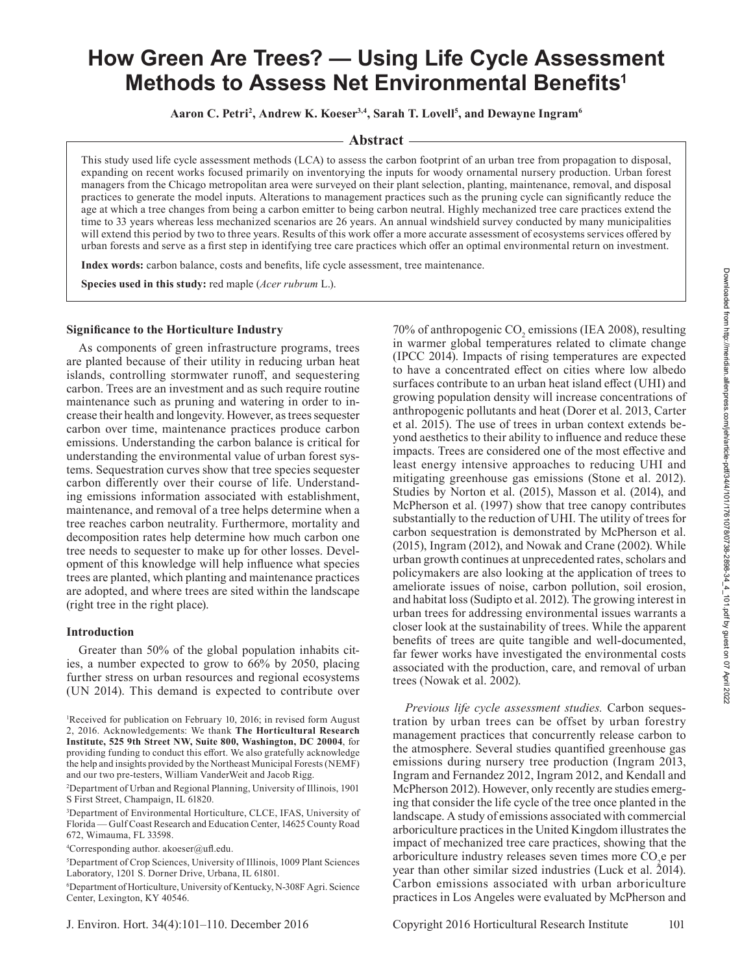# **How Green Are Trees? — Using Life Cycle Assessment Methods to Assess Net Environmental Benefits<sup>1</sup>**

**Aaron C. Petri2 , Andrew K. Koeser3,4, Sarah T. Lovell5 , and Dewayne Ingram6**

# **Abstract**

This study used life cycle assessment methods (LCA) to assess the carbon footprint of an urban tree from propagation to disposal, expanding on recent works focused primarily on inventorying the inputs for woody ornamental nursery production. Urban forest managers from the Chicago metropolitan area were surveyed on their plant selection, planting, maintenance, removal, and disposal practices to generate the model inputs. Alterations to management practices such as the pruning cycle can significantly reduce the age at which a tree changes from being a carbon emitter to being carbon neutral. Highly mechanized tree care practices extend the time to 33 years whereas less mechanized scenarios are 26 years. An annual windshield survey conducted by many municipalities will extend this period by two to three years. Results of this work offer a more accurate assessment of ecosystems services offered by urban forests and serve as a first step in identifying tree care practices which offer an optimal environmental return on investment.

Index words: carbon balance, costs and benefits, life cycle assessment, tree maintenance.

**Species used in this study:** red maple (*Acer rubrum* L.).

# **Significance to the Horticulture Industry**

As components of green infrastructure programs, trees are planted because of their utility in reducing urban heat islands, controlling stormwater runoff, and sequestering carbon. Trees are an investment and as such require routine maintenance such as pruning and watering in order to increase their health and longevity. However, as trees sequester carbon over time, maintenance practices produce carbon emissions. Understanding the carbon balance is critical for understanding the environmental value of urban forest systems. Sequestration curves show that tree species sequester carbon differently over their course of life. Understanding emissions information associated with establishment, maintenance, and removal of a tree helps determine when a tree reaches carbon neutrality. Furthermore, mortality and decomposition rates help determine how much carbon one tree needs to sequester to make up for other losses. Development of this knowledge will help influence what species trees are planted, which planting and maintenance practices are adopted, and where trees are sited within the landscape (right tree in the right place).

## **Introduction**

Greater than 50% of the global population inhabits cities, a number expected to grow to 66% by 2050, placing further stress on urban resources and regional ecosystems (UN 2014). This demand is expected to contribute over

4 Corresponding author. akoeser@ufl .edu.

to have a concentrated effect on cities where low albedo surfaces contribute to an urban heat island effect (UHI) and growing population density will increase concentrations of anthropogenic pollutants and heat (Dorer et al. 2013, Carter et al. 2015). The use of trees in urban context extends beyond aesthetics to their ability to influence and reduce these impacts. Trees are considered one of the most effective and least energy intensive approaches to reducing UHI and mitigating greenhouse gas emissions (Stone et al. 2012). Studies by Norton et al. (2015), Masson et al. (2014), and McPherson et al. (1997) show that tree canopy contributes substantially to the reduction of UHI. The utility of trees for carbon sequestration is demonstrated by McPherson et al. (2015), Ingram (2012), and Nowak and Crane (2002). While urban growth continues at unprecedented rates, scholars and policymakers are also looking at the application of trees to ameliorate issues of noise, carbon pollution, soil erosion, and habitat loss (Sudipto et al. 2012). The growing interest in urban trees for addressing environmental issues warrants a closer look at the sustainability of trees. While the apparent benefits of trees are quite tangible and well-documented, far fewer works have investigated the environmental costs associated with the production, care, and removal of urban trees (Nowak et al. 2002). *Previous life cycle assessment studies.* Carbon seques-

70% of anthropogenic  $CO_2$  emissions (IEA 2008), resulting in warmer global temperatures related to climate change (IPCC 2014). Impacts of rising temperatures are expected

tration by urban trees can be offset by urban forestry management practices that concurrently release carbon to the atmosphere. Several studies quantified greenhouse gas emissions during nursery tree production (Ingram 2013, Ingram and Fernandez 2012, Ingram 2012, and Kendall and McPherson 2012). However, only recently are studies emerging that consider the life cycle of the tree once planted in the landscape. A study of emissions associated with commercial arboriculture practices in the United Kingdom illustrates the impact of mechanized tree care practices, showing that the arboriculture industry releases seven times more CO<sub>2</sub>e per year than other similar sized industries (Luck et al. 2014). Carbon emissions associated with urban arboriculture practices in Los Angeles were evaluated by McPherson and

<sup>1</sup> Received for publication on February 10, 2016; in revised form August 2, 2016. Acknowledgements: We thank **The Horticultural Research Institute, 525 9th Street NW, Suite 800, Washington, DC 20004**, for providing funding to conduct this effort. We also gratefully acknowledge the help and insights provided by the Northeast Municipal Forests (NEMF) and our two pre-testers, William VanderWeit and Jacob Rigg.

<sup>2</sup> Department of Urban and Regional Planning, University of Illinois, 1901 S First Street, Champaign, IL 61820.

<sup>3</sup> Department of Environmental Horticulture, CLCE, IFAS, University of Florida — Gulf Coast Research and Education Center, 14625 County Road 672, Wimauma, FL 33598.

<sup>5</sup> Department of Crop Sciences, University of Illinois, 1009 Plant Sciences Laboratory, 1201 S. Dorner Drive, Urbana, IL 61801.

<sup>6</sup> Department of Horticulture, University of Kentucky, N-308F Agri. Science Center, Lexington, KY 40546.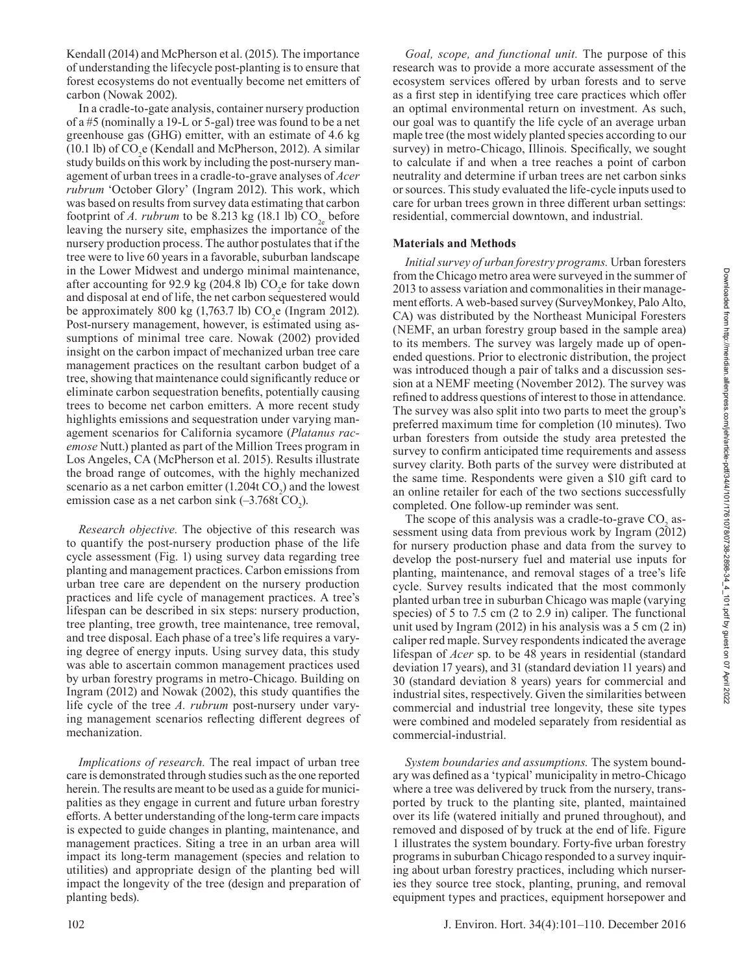Kendall (2014) and McPherson et al. (2015). The importance of understanding the lifecycle post-planting is to ensure that forest ecosystems do not eventually become net emitters of carbon (Nowak 2002).

In a cradle-to-gate analysis, container nursery production of a #5 (nominally a 19-L or 5-gal) tree was found to be a net greenhouse gas (GHG) emitter, with an estimate of 4.6 kg (10.1 lb) of  $CO<sub>2</sub>e$  (Kendall and McPherson, 2012). A similar study builds on this work by including the post-nursery management of urban trees in a cradle-to-grave analyses of *Acer rubrum* 'October Glory' (Ingram 2012). This work, which was based on results from survey data estimating that carbon footprint of *A. rubrum* to be 8.213 kg (18.1 lb)  $CO<sub>2</sub>$  before leaving the nursery site, emphasizes the importance of the nursery production process. The author postulates that if the tree were to live 60 years in a favorable, suburban landscape in the Lower Midwest and undergo minimal maintenance, after accounting for 92.9 kg (204.8 lb)  $CO<sub>2</sub>$ e for take down and disposal at end of life, the net carbon sequestered would be approximately 800 kg  $(1,763.7 \text{ lb})$  CO<sub>2</sub>e (Ingram 2012). Post-nursery management, however, is estimated using assumptions of minimal tree care. Nowak (2002) provided insight on the carbon impact of mechanized urban tree care management practices on the resultant carbon budget of a tree, showing that maintenance could significantly reduce or eliminate carbon sequestration benefits, potentially causing trees to become net carbon emitters. A more recent study highlights emissions and sequestration under varying management scenarios for California sycamore (*Platanus racemose* Nutt.) planted as part of the Million Trees program in Los Angeles, CA (McPherson et al. 2015). Results illustrate the broad range of outcomes, with the highly mechanized scenario as a net carbon emitter  $(1.204 \text{t} \text{ CO}_2)$  and the lowest emission case as a net carbon sink  $(-3.768t \text{ CO}_2)$ .

*Research objective.* The objective of this research was to quantify the post-nursery production phase of the life cycle assessment (Fig. 1) using survey data regarding tree planting and management practices. Carbon emissions from urban tree care are dependent on the nursery production practices and life cycle of management practices. A tree's lifespan can be described in six steps: nursery production, tree planting, tree growth, tree maintenance, tree removal, and tree disposal. Each phase of a tree's life requires a varying degree of energy inputs. Using survey data, this study was able to ascertain common management practices used by urban forestry programs in metro-Chicago. Building on Ingram  $(2012)$  and Nowak  $(2002)$ , this study quantifies the life cycle of the tree *A. rubrum* post-nursery under varying management scenarios reflecting different degrees of mechanization.

*Implications of research.* The real impact of urban tree care is demonstrated through studies such as the one reported herein. The results are meant to be used as a guide for municipalities as they engage in current and future urban forestry efforts. A better understanding of the long-term care impacts is expected to guide changes in planting, maintenance, and management practices. Siting a tree in an urban area will impact its long-term management (species and relation to utilities) and appropriate design of the planting bed will impact the longevity of the tree (design and preparation of planting beds).

*Goal, scope, and functional unit.* The purpose of this research was to provide a more accurate assessment of the ecosystem services offered by urban forests and to serve as a first step in identifying tree care practices which offer an optimal environmental return on investment. As such, our goal was to quantify the life cycle of an average urban maple tree (the most widely planted species according to our survey) in metro-Chicago, Illinois. Specifically, we sought to calculate if and when a tree reaches a point of carbon neutrality and determine if urban trees are net carbon sinks or sources. This study evaluated the life-cycle inputs used to care for urban trees grown in three different urban settings: residential, commercial downtown, and industrial.

# **Materials and Methods**

*Initial survey of urban forestry programs.* Urban foresters from the Chicago metro area were surveyed in the summer of 2013 to assess variation and commonalities in their management efforts. A web-based survey (SurveyMonkey, Palo Alto, CA) was distributed by the Northeast Municipal Foresters (NEMF, an urban forestry group based in the sample area) to its members. The survey was largely made up of openended questions. Prior to electronic distribution, the project was introduced though a pair of talks and a discussion session at a NEMF meeting (November 2012). The survey was refined to address questions of interest to those in attendance. The survey was also split into two parts to meet the group's preferred maximum time for completion (10 minutes). Two urban foresters from outside the study area pretested the survey to confirm anticipated time requirements and assess survey clarity. Both parts of the survey were distributed at the same time. Respondents were given a \$10 gift card to an online retailer for each of the two sections successfully completed. One follow-up reminder was sent.

The scope of this analysis was a cradle-to-grave  $\mathrm{CO}_2$  assessment using data from previous work by Ingram  $(2012)$ for nursery production phase and data from the survey to develop the post-nursery fuel and material use inputs for planting, maintenance, and removal stages of a tree's life cycle. Survey results indicated that the most commonly planted urban tree in suburban Chicago was maple (varying species) of 5 to 7.5 cm (2 to 2.9 in) caliper. The functional unit used by Ingram (2012) in his analysis was a 5 cm (2 in) caliper red maple. Survey respondents indicated the average lifespan of *Acer* sp. to be 48 years in residential (standard deviation 17 years), and 31 (standard deviation 11 years) and 30 (standard deviation 8 years) years for commercial and industrial sites, respectively. Given the similarities between commercial and industrial tree longevity, these site types were combined and modeled separately from residential as commercial-industrial.

*System boundaries and assumptions.* The system boundary was defined as a 'typical' municipality in metro-Chicago where a tree was delivered by truck from the nursery, transported by truck to the planting site, planted, maintained over its life (watered initially and pruned throughout), and removed and disposed of by truck at the end of life. Figure 1 illustrates the system boundary. Forty-five urban forestry programs in suburban Chicago responded to a survey inquiring about urban forestry practices, including which nurseries they source tree stock, planting, pruning, and removal equipment types and practices, equipment horsepower and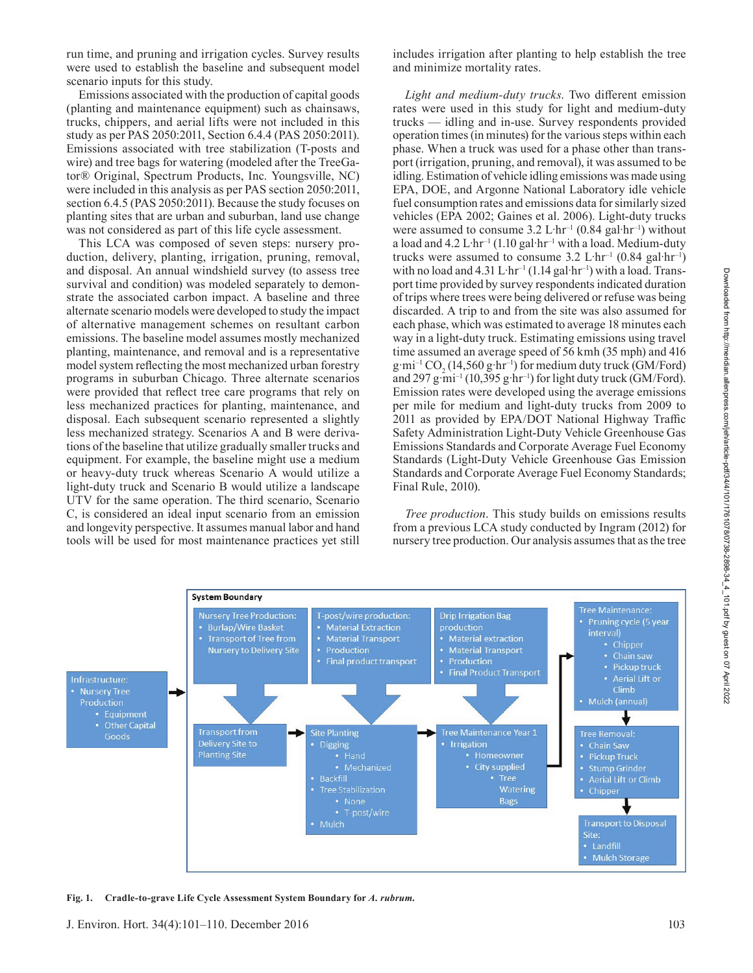run time, and pruning and irrigation cycles. Survey results were used to establish the baseline and subsequent model scenario inputs for this study.

Emissions associated with the production of capital goods (planting and maintenance equipment) such as chainsaws, trucks, chippers, and aerial lifts were not included in this study as per PAS 2050:2011, Section 6.4.4 (PAS 2050:2011). Emissions associated with tree stabilization (T-posts and wire) and tree bags for watering (modeled after the TreeGator® Original, Spectrum Products, Inc. Youngsville, NC) were included in this analysis as per PAS section 2050:2011, section 6.4.5 (PAS 2050:2011). Because the study focuses on planting sites that are urban and suburban, land use change was not considered as part of this life cycle assessment.

This LCA was composed of seven steps: nursery production, delivery, planting, irrigation, pruning, removal, and disposal. An annual windshield survey (to assess tree survival and condition) was modeled separately to demonstrate the associated carbon impact. A baseline and three alternate scenario models were developed to study the impact of alternative management schemes on resultant carbon emissions. The baseline model assumes mostly mechanized planting, maintenance, and removal and is a representative model system reflecting the most mechanized urban forestry programs in suburban Chicago. Three alternate scenarios were provided that reflect tree care programs that rely on less mechanized practices for planting, maintenance, and disposal. Each subsequent scenario represented a slightly less mechanized strategy. Scenarios A and B were derivations of the baseline that utilize gradually smaller trucks and equipment. For example, the baseline might use a medium or heavy-duty truck whereas Scenario A would utilize a light-duty truck and Scenario B would utilize a landscape UTV for the same operation. The third scenario, Scenario C, is considered an ideal input scenario from an emission and longevity perspective. It assumes manual labor and hand tools will be used for most maintenance practices yet still

includes irrigation after planting to help establish the tree and minimize mortality rates.

*Light and medium-duty trucks*. Two different emission rates were used in this study for light and medium-duty trucks — idling and in-use. Survey respondents provided operation times (in minutes) for the various steps within each phase. When a truck was used for a phase other than transport (irrigation, pruning, and removal), it was assumed to be idling. Estimation of vehicle idling emissions was made using EPA, DOE, and Argonne National Laboratory idle vehicle fuel consumption rates and emissions data for similarly sized vehicles (EPA 2002; Gaines et al. 2006). Light-duty trucks were assumed to consume  $3.2 \mathrm{L} \cdot \mathrm{hr}^{-1}$  (0.84 gal $\cdot \mathrm{hr}^{-1}$ ) without a load and  $4.2$  L·hr<sup>-1</sup> (1.10 gal·hr<sup>-1</sup> with a load. Medium-duty trucks were assumed to consume  $3.2 \text{ L} \cdot \text{hr}^{-1}$  (0.84 gal $\cdot \text{hr}^{-1}$ ) with no load and  $4.31 \text{ L} \cdot \text{hr}^{-1}$  (1.14 gal $\cdot \text{hr}^{-1}$ ) with a load. Transport time provided by survey respondents indicated duration of trips where trees were being delivered or refuse was being discarded. A trip to and from the site was also assumed for each phase, which was estimated to average 18 minutes each way in a light-duty truck. Estimating emissions using travel time assumed an average speed of 56 kmh (35 mph) and 416  $g·mi^{-1}CO_2(14,560 g·hr^{-1})$  for medium duty truck (GM/Ford) and 297 g·mi<sup>-1</sup> (10,395 g·hr<sup>-1</sup>) for light duty truck (GM/Ford). Emission rates were developed using the average emissions per mile for medium and light-duty trucks from 2009 to 2011 as provided by EPA/DOT National Highway Traffic Safety Administration Light-Duty Vehicle Greenhouse Gas Emissions Standards and Corporate Average Fuel Economy Standards (Light-Duty Vehicle Greenhouse Gas Emission Standards and Corporate Average Fuel Economy Standards; Final Rule, 2010).

*Tree production*. This study builds on emissions results from a previous LCA study conducted by Ingram (2012) for nursery tree production. Our analysis assumes that as the tree



**Fig. 1. Cradle-to-grave Life Cycle Assessment System Boundary for** *A. rubrum.*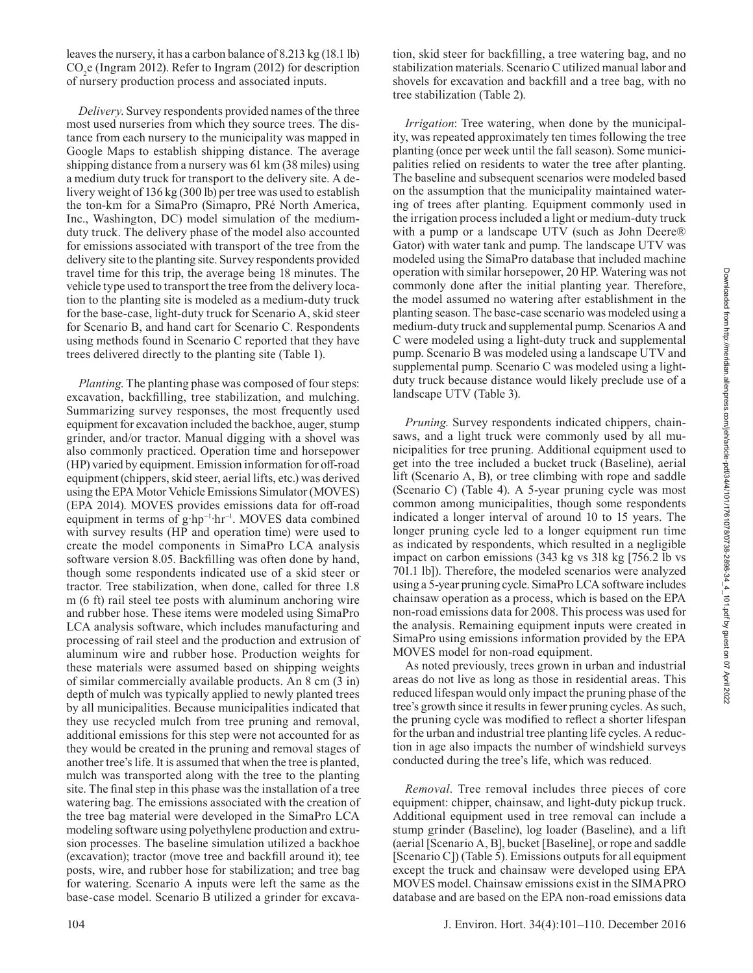leaves the nursery, it has a carbon balance of 8.213 kg (18.1 lb) CO2 e (Ingram 2012). Refer to Ingram (2012) for description of nursery production process and associated inputs.

*Delivery*. Survey respondents provided names of the three most used nurseries from which they source trees. The distance from each nursery to the municipality was mapped in Google Maps to establish shipping distance. The average shipping distance from a nursery was 61 km (38 miles) using a medium duty truck for transport to the delivery site. A delivery weight of 136 kg (300 lb) per tree was used to establish the ton-km for a SimaPro (Simapro, PRé North America, Inc., Washington, DC) model simulation of the mediumduty truck. The delivery phase of the model also accounted for emissions associated with transport of the tree from the delivery site to the planting site. Survey respondents provided travel time for this trip, the average being 18 minutes. The vehicle type used to transport the tree from the delivery location to the planting site is modeled as a medium-duty truck for the base-case, light-duty truck for Scenario A, skid steer for Scenario B, and hand cart for Scenario C. Respondents using methods found in Scenario C reported that they have trees delivered directly to the planting site (Table 1).

*Planting*. The planting phase was composed of four steps: excavation, backfilling, tree stabilization, and mulching. Summarizing survey responses, the most frequently used equipment for excavation included the backhoe, auger, stump grinder, and/or tractor. Manual digging with a shovel was also commonly practiced. Operation time and horsepower (HP) varied by equipment. Emission information for off-road equipment (chippers, skid steer, aerial lifts, etc.) was derived using the EPA Motor Vehicle Emissions Simulator (MOVES) (EPA 2014). MOVES provides emissions data for off -road equipment in terms of  $g$ ·hp<sup>-1</sup>·hr<sup>-1</sup>. MOVES data combined with survey results (HP and operation time) were used to create the model components in SimaPro LCA analysis software version 8.05. Backfilling was often done by hand, though some respondents indicated use of a skid steer or tractor. Tree stabilization, when done, called for three 1.8 m (6 ft) rail steel tee posts with aluminum anchoring wire and rubber hose. These items were modeled using SimaPro LCA analysis software, which includes manufacturing and processing of rail steel and the production and extrusion of aluminum wire and rubber hose. Production weights for these materials were assumed based on shipping weights of similar commercially available products. An 8 cm (3 in) depth of mulch was typically applied to newly planted trees by all municipalities. Because municipalities indicated that they use recycled mulch from tree pruning and removal, additional emissions for this step were not accounted for as they would be created in the pruning and removal stages of another tree's life. It is assumed that when the tree is planted, mulch was transported along with the tree to the planting site. The final step in this phase was the installation of a tree watering bag. The emissions associated with the creation of the tree bag material were developed in the SimaPro LCA modeling software using polyethylene production and extrusion processes. The baseline simulation utilized a backhoe (excavation); tractor (move tree and backfill around it); tee posts, wire, and rubber hose for stabilization; and tree bag for watering. Scenario A inputs were left the same as the base-case model. Scenario B utilized a grinder for excava-

tion, skid steer for backfilling, a tree watering bag, and no stabilization materials. Scenario C utilized manual labor and shovels for excavation and backfill and a tree bag, with no tree stabilization (Table 2).

*Irrigation*: Tree watering, when done by the municipality, was repeated approximately ten times following the tree planting (once per week until the fall season). Some municipalities relied on residents to water the tree after planting. The baseline and subsequent scenarios were modeled based on the assumption that the municipality maintained watering of trees after planting. Equipment commonly used in the irrigation process included a light or medium-duty truck with a pump or a landscape UTV (such as John Deere® Gator) with water tank and pump. The landscape UTV was modeled using the SimaPro database that included machine operation with similar horsepower, 20 HP. Watering was not commonly done after the initial planting year. Therefore, the model assumed no watering after establishment in the planting season. The base-case scenario was modeled using a medium-duty truck and supplemental pump. Scenarios A and C were modeled using a light-duty truck and supplemental pump. Scenario B was modeled using a landscape UTV and supplemental pump. Scenario C was modeled using a lightduty truck because distance would likely preclude use of a landscape UTV (Table 3).

*Pruning*. Survey respondents indicated chippers, chainsaws, and a light truck were commonly used by all municipalities for tree pruning. Additional equipment used to get into the tree included a bucket truck (Baseline), aerial lift (Scenario A, B), or tree climbing with rope and saddle (Scenario C) (Table 4). A 5-year pruning cycle was most common among municipalities, though some respondents indicated a longer interval of around 10 to 15 years. The longer pruning cycle led to a longer equipment run time as indicated by respondents, which resulted in a negligible impact on carbon emissions (343 kg vs 318 kg [756.2 lb vs 701.1 lb]). Therefore, the modeled scenarios were analyzed using a 5-year pruning cycle. SimaPro LCA software includes chainsaw operation as a process, which is based on the EPA non-road emissions data for 2008. This process was used for the analysis. Remaining equipment inputs were created in SimaPro using emissions information provided by the EPA MOVES model for non-road equipment.

As noted previously, trees grown in urban and industrial areas do not live as long as those in residential areas. This reduced lifespan would only impact the pruning phase of the tree's growth since it results in fewer pruning cycles. As such, the pruning cycle was modified to reflect a shorter lifespan for the urban and industrial tree planting life cycles. A reduction in age also impacts the number of windshield surveys conducted during the tree's life, which was reduced.

*Removal*. Tree removal includes three pieces of core equipment: chipper, chainsaw, and light-duty pickup truck. Additional equipment used in tree removal can include a stump grinder (Baseline), log loader (Baseline), and a lift (aerial [Scenario A, B], bucket [Baseline], or rope and saddle [Scenario C]) (Table 5). Emissions outputs for all equipment except the truck and chainsaw were developed using EPA MOVES model. Chainsaw emissions exist in the SIMAPRO database and are based on the EPA non-road emissions data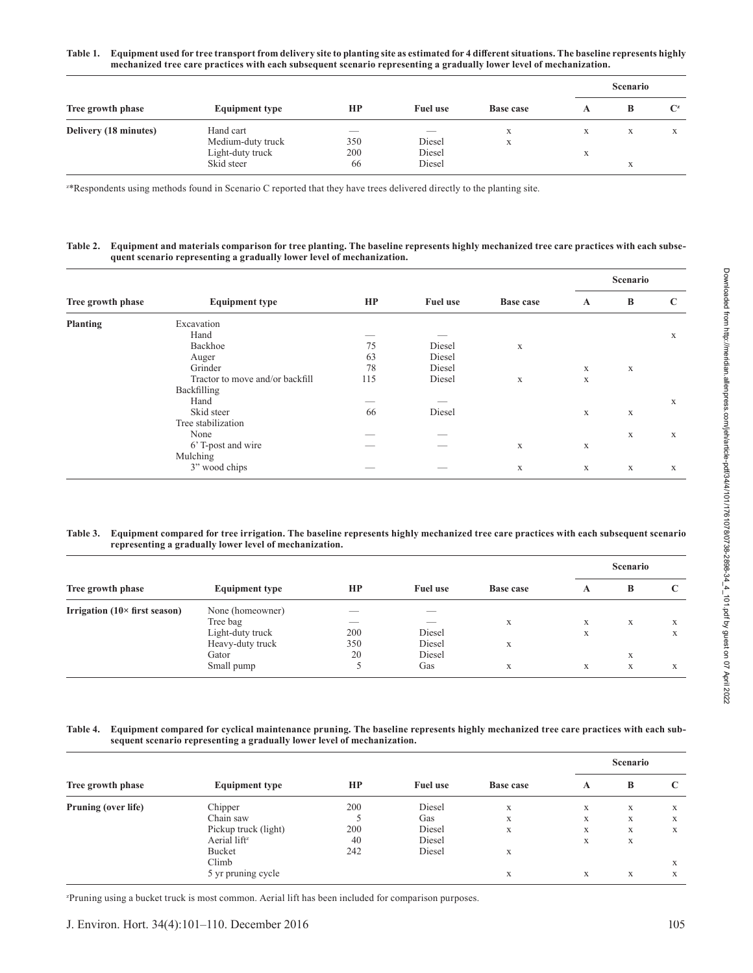|                       |                                                                  |                                              |                                                        |                  |                        | <b>Scenario</b> |                           |  |  |
|-----------------------|------------------------------------------------------------------|----------------------------------------------|--------------------------------------------------------|------------------|------------------------|-----------------|---------------------------|--|--|
| Tree growth phase     | <b>Equipment type</b>                                            | HP                                           | <b>Fuel use</b>                                        | <b>Base case</b> |                        | B               | $\mathbf{C}^{\mathbf{z}}$ |  |  |
| Delivery (18 minutes) | Hand cart<br>Medium-duty truck<br>Light-duty truck<br>Skid steer | $\overline{\phantom{a}}$<br>350<br>200<br>66 | $\overline{\phantom{a}}$<br>Diesel<br>Diesel<br>Diesel | X<br>X           | X<br>$\mathbf{v}$<br>л | X<br>X          | X                         |  |  |

z \*Respondents using methods found in Scenario C reported that they have trees delivered directly to the planting site.

#### **Table 2. Equipment and materials comparison for tree planting. The baseline represents highly mechanized tree care practices with each subsequent scenario representing a gradually lower level of mechanization.**

|                   |                                 |     |                 |             |              | Scenario    |   |  |
|-------------------|---------------------------------|-----|-----------------|-------------|--------------|-------------|---|--|
| Tree growth phase | <b>Equipment type</b>           | HP  | <b>Fuel use</b> | Base case   | $\mathbf{A}$ | B           | C |  |
| <b>Planting</b>   | Excavation                      |     |                 |             |              |             |   |  |
|                   | Hand                            |     |                 |             |              |             | X |  |
|                   | Backhoe                         | 75  | Diesel          | X           |              |             |   |  |
|                   | Auger                           | 63  | Diesel          |             |              |             |   |  |
|                   | Grinder                         | 78  | Diesel          |             | $\mathbf X$  | $\mathbf X$ |   |  |
|                   | Tractor to move and/or backfill | 115 | Diesel          | X           | X            |             |   |  |
|                   | Backfilling                     |     |                 |             |              |             |   |  |
|                   | Hand                            |     |                 |             |              |             | X |  |
|                   | Skid steer                      | 66  | Diesel          |             | $\mathbf X$  | $\mathbf X$ |   |  |
|                   | Tree stabilization              |     |                 |             |              |             |   |  |
|                   | None                            |     |                 |             |              | X           | X |  |
|                   | 6' T-post and wire              |     |                 | X           | $\mathbf X$  |             |   |  |
|                   | Mulching                        |     |                 |             |              |             |   |  |
|                   | 3" wood chips                   |     |                 | $\mathbf X$ | $\mathbf X$  | X           | X |  |

#### **Table 3. Equipment compared for tree irrigation. The baseline represents highly mechanized tree care practices with each subsequent scenario representing a gradually lower level of mechanization.**

|                                       |                       |                          |                 |                  | Scenario |   |   |
|---------------------------------------|-----------------------|--------------------------|-----------------|------------------|----------|---|---|
| Tree growth phase                     | <b>Equipment type</b> | HP                       | <b>Fuel use</b> | <b>Base case</b> | A        | B |   |
| Irrigation $(10 \times$ first season) | None (homeowner)      | $\overline{\phantom{a}}$ | __              |                  |          |   |   |
|                                       | Tree bag              | __                       | __              | X                | X        | X | X |
|                                       | Light-duty truck      | 200                      | Diesel          |                  | X        |   | X |
|                                       | Heavy-duty truck      | 350                      | Diesel          | X                |          |   |   |
|                                       | Gator                 | 20                       | Diesel          |                  |          | X |   |
|                                       | Small pump            |                          | Gas             | X                | X        | X | X |

#### **Table 4. Equipment compared for cyclical maintenance pruning. The baseline represents highly mechanized tree care practices with each subsequent scenario representing a gradually lower level of mechanization.**

| Tree growth phase          | <b>Equipment type</b>    | HP  | <b>Fuel use</b> | <b>Base case</b> | <b>Scenario</b> |   |   |
|----------------------------|--------------------------|-----|-----------------|------------------|-----------------|---|---|
|                            |                          |     |                 |                  | A               | B | C |
| <b>Pruning (over life)</b> | Chipper                  | 200 | Diesel          | X                | X               | X | X |
|                            | Chain saw                |     | Gas             | X                | X               | X | X |
|                            | Pickup truck (light)     | 200 | Diesel          | X                | X               | X | X |
|                            | Aerial lift <sup>z</sup> | 40  | Diesel          |                  | X               | X |   |
|                            | Bucket                   | 242 | Diesel          | X                |                 |   |   |
|                            | Climb                    |     |                 |                  |                 |   | X |
|                            | 5 yr pruning cycle       |     |                 | X                | X               | X | X |

z Pruning using a bucket truck is most common. Aerial lift has been included for comparison purposes.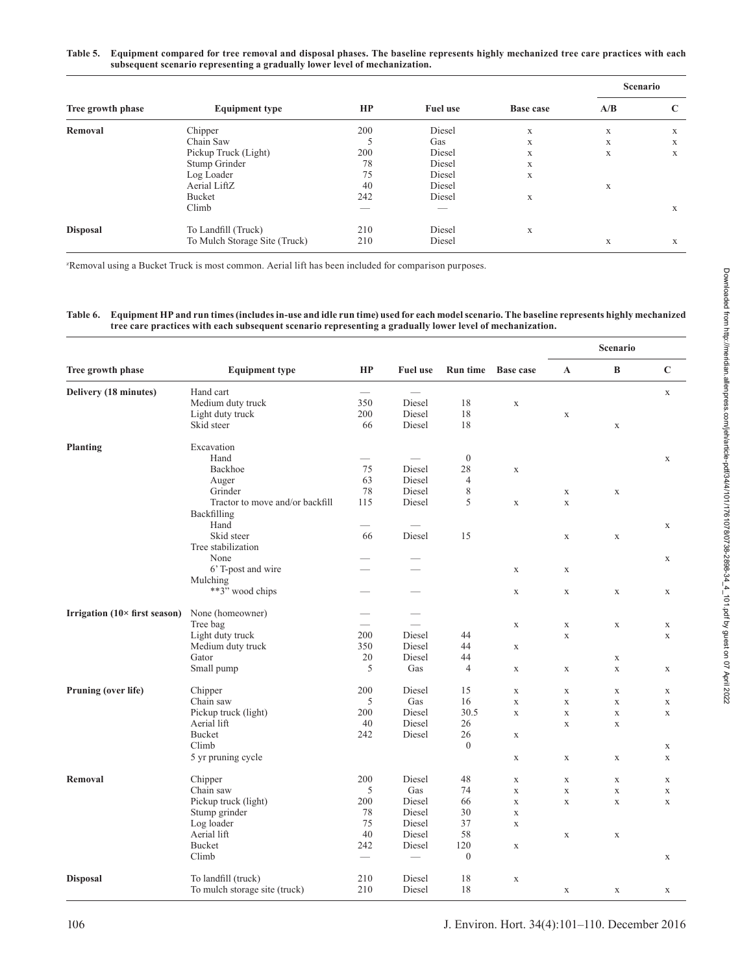#### **Table 5. Equipment compared for tree removal and disposal phases. The baseline represents highly mechanized tree care practices with each subsequent scenario representing a gradually lower level of mechanization.**

| Tree growth phase | <b>Equipment type</b>         |     |                 |           | Scenario |   |  |
|-------------------|-------------------------------|-----|-----------------|-----------|----------|---|--|
|                   |                               | HP  | <b>Fuel use</b> | Base case | A/B      | C |  |
| Removal           | Chipper                       | 200 | Diesel          | X         | X        | X |  |
|                   | Chain Saw                     |     | Gas             | X         | X        | X |  |
|                   | Pickup Truck (Light)          | 200 | Diesel          | X         | X        | X |  |
|                   | Stump Grinder                 | 78  | Diesel          | X         |          |   |  |
|                   | Log Loader                    | 75  | Diesel          | X         |          |   |  |
|                   | Aerial LiftZ                  | 40  | Diesel          |           | X        |   |  |
|                   | Bucket                        | 242 | Diesel          | X         |          |   |  |
|                   | Climb                         | __  |                 |           |          | X |  |
| <b>Disposal</b>   | To Landfill (Truck)           | 210 | Diesel          | X         |          |   |  |
|                   | To Mulch Storage Site (Truck) | 210 | Diesel          |           | X        | X |  |

z Removal using a Bucket Truck is most common. Aerial lift has been included for comparison purposes.

# **Table 6. Equipment HP and run times (includes in-use and idle run time) used for each model scenario. The baseline represents highly mechanized tree care practices with each subsequent scenario representing a gradually lower level of mechanization.**

| $\, {\bf B}$<br>$\mathbf C$<br>HP<br>Tree growth phase<br><b>Equipment type</b><br><b>Fuel use</b><br><b>Run time</b><br><b>Base case</b><br>$\mathbf A$<br>Hand cart<br>Delivery (18 minutes)<br>$\overbrace{\qquad \qquad }^{}$<br>$\mathbf X$<br>Medium duty truck<br>350<br>Diesel<br>18<br>$\mathbf X$<br>18<br>Light duty truck<br>200<br>Diesel<br>$\mathbf X$<br>Skid steer<br>18<br>66<br>Diesel<br>$\mathbf X$<br>Excavation<br><b>Planting</b><br>Hand<br>$\mathbf{0}$<br>$\overline{\phantom{a}}$<br>$\mathbf X$<br>Backhoe<br>$75\,$<br>Diesel<br>28<br>$\mathbf X$<br>63<br>$\overline{4}$<br>Auger<br>Diesel<br>78<br>Grinder<br>Diesel<br>8<br>$\mathbf X$<br>$\mathbf X$<br>5<br>Tractor to move and/or backfill<br>115<br>Diesel<br>$\mathbf X$<br>$\mathbf X$<br>Backfilling<br>Hand<br>$\overline{\phantom{a}}$<br>$\mathbf x$<br>Skid steer<br>Diesel<br>15<br>66<br>$\mathbf X$<br>$\mathbf X$<br>Tree stabilization<br>None<br>$\mathbf X$<br>6' T-post and wire<br>$\mathbf X$<br>$\mathbf X$<br>Mulching<br>**3" wood chips<br>$\mathbf X$<br>$\mathbf X$<br>$\mathbf X$<br>$\mathbf X$<br>-<br>Irrigation (10× first season)<br>None (homeowner)<br>Tree bag<br>$\mathbf X$<br>$\mathbf X$<br>$\mathbf X$<br>$\mathbf X$<br>Light duty truck<br>200<br>Diesel<br>44<br>$\mathbf X$<br>$\mathbf X$<br>Medium duty truck<br>350<br>44<br>Diesel<br>$\mathbf X$<br>20<br>Diesel<br>44<br>Gator<br>$\mathbf X$<br>5<br>Gas<br>$\overline{4}$<br>Small pump<br>$\mathbf X$<br>$\mathbf X$<br>$\mathbf X$<br>$\mathbf X$<br>200<br>15<br>Pruning (over life)<br>Chipper<br>Diesel<br>$\mathbf X$<br>$\mathbf X$<br>$\mathbf X$<br>$\mathbf x$<br>5<br>16<br>Chain saw<br>Gas<br>$\mathbf X$<br>$\mathbf X$<br>$\mathbf X$<br>$\mathbf X$<br>Pickup truck (light)<br>Diesel<br>30.5<br>200<br>$\mathbf X$<br>$\mathbf X$<br>$\mathbf X$<br>$\mathbf X$<br>Aerial lift<br>40<br>Diesel<br>26<br>$\bar{X}$<br>$\mathbf x$<br>Bucket<br>242<br>Diesel<br>26<br>$\mathbf X$<br>$\mathbf{0}$<br>Climb<br>$\mathbf X$<br>5 yr pruning cycle<br>$\mathbf X$<br>$\mathbf X$<br>$\mathbf X$<br>$\mathbf X$<br>48<br>200<br>Diesel<br><b>Removal</b><br>Chipper<br>$\mathbf X$<br>$\mathbf X$<br>$\mathbf X$<br>$\mathbf X$<br>5<br>Chain saw<br>Gas<br>74<br>$\mathbf X$<br>$\mathbf X$<br>$\mathbf X$<br>$\mathbf X$<br>Pickup truck (light)<br>200<br>Diesel<br>66<br>$\mathbf X$<br>$\mathbf X$<br>$\mathbf X$<br>$\mathbf X$<br>$78\,$<br>30<br>Stump grinder<br>Diesel<br>$\mathbf X$<br>75<br>37<br>Log loader<br>Diesel<br>$\mathbf X$<br>58<br>Aerial lift<br>40<br>Diesel<br>$\mathbf X$<br>$\mathbf X$<br>Bucket<br>242<br>Diesel<br>120<br>$\mathbf X$<br>$\boldsymbol{0}$<br>Climb<br>$\overline{\phantom{m}}$<br>$\mathbf X$<br><b>Disposal</b><br>To landfill (truck)<br>Diesel<br>18<br>210<br>$\mathbf X$<br>210<br>Diesel<br>18<br>To mulch storage site (truck)<br>$\mathbf X$<br>$\mathbf X$<br>$\mathbf x$ |  |  |  | Scenario |  |  |  |
|------------------------------------------------------------------------------------------------------------------------------------------------------------------------------------------------------------------------------------------------------------------------------------------------------------------------------------------------------------------------------------------------------------------------------------------------------------------------------------------------------------------------------------------------------------------------------------------------------------------------------------------------------------------------------------------------------------------------------------------------------------------------------------------------------------------------------------------------------------------------------------------------------------------------------------------------------------------------------------------------------------------------------------------------------------------------------------------------------------------------------------------------------------------------------------------------------------------------------------------------------------------------------------------------------------------------------------------------------------------------------------------------------------------------------------------------------------------------------------------------------------------------------------------------------------------------------------------------------------------------------------------------------------------------------------------------------------------------------------------------------------------------------------------------------------------------------------------------------------------------------------------------------------------------------------------------------------------------------------------------------------------------------------------------------------------------------------------------------------------------------------------------------------------------------------------------------------------------------------------------------------------------------------------------------------------------------------------------------------------------------------------------------------------------------------------------------------------------------------------------------------------------------------------------------------------------------------------------------------------------------------------------------------------------------------------------------------------------------------------------------------------------------------------------------------------------------------------------------------------------------------------------------------------------------------------|--|--|--|----------|--|--|--|
|                                                                                                                                                                                                                                                                                                                                                                                                                                                                                                                                                                                                                                                                                                                                                                                                                                                                                                                                                                                                                                                                                                                                                                                                                                                                                                                                                                                                                                                                                                                                                                                                                                                                                                                                                                                                                                                                                                                                                                                                                                                                                                                                                                                                                                                                                                                                                                                                                                                                                                                                                                                                                                                                                                                                                                                                                                                                                                                                          |  |  |  |          |  |  |  |
|                                                                                                                                                                                                                                                                                                                                                                                                                                                                                                                                                                                                                                                                                                                                                                                                                                                                                                                                                                                                                                                                                                                                                                                                                                                                                                                                                                                                                                                                                                                                                                                                                                                                                                                                                                                                                                                                                                                                                                                                                                                                                                                                                                                                                                                                                                                                                                                                                                                                                                                                                                                                                                                                                                                                                                                                                                                                                                                                          |  |  |  |          |  |  |  |
|                                                                                                                                                                                                                                                                                                                                                                                                                                                                                                                                                                                                                                                                                                                                                                                                                                                                                                                                                                                                                                                                                                                                                                                                                                                                                                                                                                                                                                                                                                                                                                                                                                                                                                                                                                                                                                                                                                                                                                                                                                                                                                                                                                                                                                                                                                                                                                                                                                                                                                                                                                                                                                                                                                                                                                                                                                                                                                                                          |  |  |  |          |  |  |  |
|                                                                                                                                                                                                                                                                                                                                                                                                                                                                                                                                                                                                                                                                                                                                                                                                                                                                                                                                                                                                                                                                                                                                                                                                                                                                                                                                                                                                                                                                                                                                                                                                                                                                                                                                                                                                                                                                                                                                                                                                                                                                                                                                                                                                                                                                                                                                                                                                                                                                                                                                                                                                                                                                                                                                                                                                                                                                                                                                          |  |  |  |          |  |  |  |
|                                                                                                                                                                                                                                                                                                                                                                                                                                                                                                                                                                                                                                                                                                                                                                                                                                                                                                                                                                                                                                                                                                                                                                                                                                                                                                                                                                                                                                                                                                                                                                                                                                                                                                                                                                                                                                                                                                                                                                                                                                                                                                                                                                                                                                                                                                                                                                                                                                                                                                                                                                                                                                                                                                                                                                                                                                                                                                                                          |  |  |  |          |  |  |  |
|                                                                                                                                                                                                                                                                                                                                                                                                                                                                                                                                                                                                                                                                                                                                                                                                                                                                                                                                                                                                                                                                                                                                                                                                                                                                                                                                                                                                                                                                                                                                                                                                                                                                                                                                                                                                                                                                                                                                                                                                                                                                                                                                                                                                                                                                                                                                                                                                                                                                                                                                                                                                                                                                                                                                                                                                                                                                                                                                          |  |  |  |          |  |  |  |
|                                                                                                                                                                                                                                                                                                                                                                                                                                                                                                                                                                                                                                                                                                                                                                                                                                                                                                                                                                                                                                                                                                                                                                                                                                                                                                                                                                                                                                                                                                                                                                                                                                                                                                                                                                                                                                                                                                                                                                                                                                                                                                                                                                                                                                                                                                                                                                                                                                                                                                                                                                                                                                                                                                                                                                                                                                                                                                                                          |  |  |  |          |  |  |  |
|                                                                                                                                                                                                                                                                                                                                                                                                                                                                                                                                                                                                                                                                                                                                                                                                                                                                                                                                                                                                                                                                                                                                                                                                                                                                                                                                                                                                                                                                                                                                                                                                                                                                                                                                                                                                                                                                                                                                                                                                                                                                                                                                                                                                                                                                                                                                                                                                                                                                                                                                                                                                                                                                                                                                                                                                                                                                                                                                          |  |  |  |          |  |  |  |
|                                                                                                                                                                                                                                                                                                                                                                                                                                                                                                                                                                                                                                                                                                                                                                                                                                                                                                                                                                                                                                                                                                                                                                                                                                                                                                                                                                                                                                                                                                                                                                                                                                                                                                                                                                                                                                                                                                                                                                                                                                                                                                                                                                                                                                                                                                                                                                                                                                                                                                                                                                                                                                                                                                                                                                                                                                                                                                                                          |  |  |  |          |  |  |  |
|                                                                                                                                                                                                                                                                                                                                                                                                                                                                                                                                                                                                                                                                                                                                                                                                                                                                                                                                                                                                                                                                                                                                                                                                                                                                                                                                                                                                                                                                                                                                                                                                                                                                                                                                                                                                                                                                                                                                                                                                                                                                                                                                                                                                                                                                                                                                                                                                                                                                                                                                                                                                                                                                                                                                                                                                                                                                                                                                          |  |  |  |          |  |  |  |
|                                                                                                                                                                                                                                                                                                                                                                                                                                                                                                                                                                                                                                                                                                                                                                                                                                                                                                                                                                                                                                                                                                                                                                                                                                                                                                                                                                                                                                                                                                                                                                                                                                                                                                                                                                                                                                                                                                                                                                                                                                                                                                                                                                                                                                                                                                                                                                                                                                                                                                                                                                                                                                                                                                                                                                                                                                                                                                                                          |  |  |  |          |  |  |  |
|                                                                                                                                                                                                                                                                                                                                                                                                                                                                                                                                                                                                                                                                                                                                                                                                                                                                                                                                                                                                                                                                                                                                                                                                                                                                                                                                                                                                                                                                                                                                                                                                                                                                                                                                                                                                                                                                                                                                                                                                                                                                                                                                                                                                                                                                                                                                                                                                                                                                                                                                                                                                                                                                                                                                                                                                                                                                                                                                          |  |  |  |          |  |  |  |
|                                                                                                                                                                                                                                                                                                                                                                                                                                                                                                                                                                                                                                                                                                                                                                                                                                                                                                                                                                                                                                                                                                                                                                                                                                                                                                                                                                                                                                                                                                                                                                                                                                                                                                                                                                                                                                                                                                                                                                                                                                                                                                                                                                                                                                                                                                                                                                                                                                                                                                                                                                                                                                                                                                                                                                                                                                                                                                                                          |  |  |  |          |  |  |  |
|                                                                                                                                                                                                                                                                                                                                                                                                                                                                                                                                                                                                                                                                                                                                                                                                                                                                                                                                                                                                                                                                                                                                                                                                                                                                                                                                                                                                                                                                                                                                                                                                                                                                                                                                                                                                                                                                                                                                                                                                                                                                                                                                                                                                                                                                                                                                                                                                                                                                                                                                                                                                                                                                                                                                                                                                                                                                                                                                          |  |  |  |          |  |  |  |
|                                                                                                                                                                                                                                                                                                                                                                                                                                                                                                                                                                                                                                                                                                                                                                                                                                                                                                                                                                                                                                                                                                                                                                                                                                                                                                                                                                                                                                                                                                                                                                                                                                                                                                                                                                                                                                                                                                                                                                                                                                                                                                                                                                                                                                                                                                                                                                                                                                                                                                                                                                                                                                                                                                                                                                                                                                                                                                                                          |  |  |  |          |  |  |  |
|                                                                                                                                                                                                                                                                                                                                                                                                                                                                                                                                                                                                                                                                                                                                                                                                                                                                                                                                                                                                                                                                                                                                                                                                                                                                                                                                                                                                                                                                                                                                                                                                                                                                                                                                                                                                                                                                                                                                                                                                                                                                                                                                                                                                                                                                                                                                                                                                                                                                                                                                                                                                                                                                                                                                                                                                                                                                                                                                          |  |  |  |          |  |  |  |
|                                                                                                                                                                                                                                                                                                                                                                                                                                                                                                                                                                                                                                                                                                                                                                                                                                                                                                                                                                                                                                                                                                                                                                                                                                                                                                                                                                                                                                                                                                                                                                                                                                                                                                                                                                                                                                                                                                                                                                                                                                                                                                                                                                                                                                                                                                                                                                                                                                                                                                                                                                                                                                                                                                                                                                                                                                                                                                                                          |  |  |  |          |  |  |  |
|                                                                                                                                                                                                                                                                                                                                                                                                                                                                                                                                                                                                                                                                                                                                                                                                                                                                                                                                                                                                                                                                                                                                                                                                                                                                                                                                                                                                                                                                                                                                                                                                                                                                                                                                                                                                                                                                                                                                                                                                                                                                                                                                                                                                                                                                                                                                                                                                                                                                                                                                                                                                                                                                                                                                                                                                                                                                                                                                          |  |  |  |          |  |  |  |
|                                                                                                                                                                                                                                                                                                                                                                                                                                                                                                                                                                                                                                                                                                                                                                                                                                                                                                                                                                                                                                                                                                                                                                                                                                                                                                                                                                                                                                                                                                                                                                                                                                                                                                                                                                                                                                                                                                                                                                                                                                                                                                                                                                                                                                                                                                                                                                                                                                                                                                                                                                                                                                                                                                                                                                                                                                                                                                                                          |  |  |  |          |  |  |  |
|                                                                                                                                                                                                                                                                                                                                                                                                                                                                                                                                                                                                                                                                                                                                                                                                                                                                                                                                                                                                                                                                                                                                                                                                                                                                                                                                                                                                                                                                                                                                                                                                                                                                                                                                                                                                                                                                                                                                                                                                                                                                                                                                                                                                                                                                                                                                                                                                                                                                                                                                                                                                                                                                                                                                                                                                                                                                                                                                          |  |  |  |          |  |  |  |
|                                                                                                                                                                                                                                                                                                                                                                                                                                                                                                                                                                                                                                                                                                                                                                                                                                                                                                                                                                                                                                                                                                                                                                                                                                                                                                                                                                                                                                                                                                                                                                                                                                                                                                                                                                                                                                                                                                                                                                                                                                                                                                                                                                                                                                                                                                                                                                                                                                                                                                                                                                                                                                                                                                                                                                                                                                                                                                                                          |  |  |  |          |  |  |  |
|                                                                                                                                                                                                                                                                                                                                                                                                                                                                                                                                                                                                                                                                                                                                                                                                                                                                                                                                                                                                                                                                                                                                                                                                                                                                                                                                                                                                                                                                                                                                                                                                                                                                                                                                                                                                                                                                                                                                                                                                                                                                                                                                                                                                                                                                                                                                                                                                                                                                                                                                                                                                                                                                                                                                                                                                                                                                                                                                          |  |  |  |          |  |  |  |
|                                                                                                                                                                                                                                                                                                                                                                                                                                                                                                                                                                                                                                                                                                                                                                                                                                                                                                                                                                                                                                                                                                                                                                                                                                                                                                                                                                                                                                                                                                                                                                                                                                                                                                                                                                                                                                                                                                                                                                                                                                                                                                                                                                                                                                                                                                                                                                                                                                                                                                                                                                                                                                                                                                                                                                                                                                                                                                                                          |  |  |  |          |  |  |  |
|                                                                                                                                                                                                                                                                                                                                                                                                                                                                                                                                                                                                                                                                                                                                                                                                                                                                                                                                                                                                                                                                                                                                                                                                                                                                                                                                                                                                                                                                                                                                                                                                                                                                                                                                                                                                                                                                                                                                                                                                                                                                                                                                                                                                                                                                                                                                                                                                                                                                                                                                                                                                                                                                                                                                                                                                                                                                                                                                          |  |  |  |          |  |  |  |
|                                                                                                                                                                                                                                                                                                                                                                                                                                                                                                                                                                                                                                                                                                                                                                                                                                                                                                                                                                                                                                                                                                                                                                                                                                                                                                                                                                                                                                                                                                                                                                                                                                                                                                                                                                                                                                                                                                                                                                                                                                                                                                                                                                                                                                                                                                                                                                                                                                                                                                                                                                                                                                                                                                                                                                                                                                                                                                                                          |  |  |  |          |  |  |  |
|                                                                                                                                                                                                                                                                                                                                                                                                                                                                                                                                                                                                                                                                                                                                                                                                                                                                                                                                                                                                                                                                                                                                                                                                                                                                                                                                                                                                                                                                                                                                                                                                                                                                                                                                                                                                                                                                                                                                                                                                                                                                                                                                                                                                                                                                                                                                                                                                                                                                                                                                                                                                                                                                                                                                                                                                                                                                                                                                          |  |  |  |          |  |  |  |
|                                                                                                                                                                                                                                                                                                                                                                                                                                                                                                                                                                                                                                                                                                                                                                                                                                                                                                                                                                                                                                                                                                                                                                                                                                                                                                                                                                                                                                                                                                                                                                                                                                                                                                                                                                                                                                                                                                                                                                                                                                                                                                                                                                                                                                                                                                                                                                                                                                                                                                                                                                                                                                                                                                                                                                                                                                                                                                                                          |  |  |  |          |  |  |  |
|                                                                                                                                                                                                                                                                                                                                                                                                                                                                                                                                                                                                                                                                                                                                                                                                                                                                                                                                                                                                                                                                                                                                                                                                                                                                                                                                                                                                                                                                                                                                                                                                                                                                                                                                                                                                                                                                                                                                                                                                                                                                                                                                                                                                                                                                                                                                                                                                                                                                                                                                                                                                                                                                                                                                                                                                                                                                                                                                          |  |  |  |          |  |  |  |
|                                                                                                                                                                                                                                                                                                                                                                                                                                                                                                                                                                                                                                                                                                                                                                                                                                                                                                                                                                                                                                                                                                                                                                                                                                                                                                                                                                                                                                                                                                                                                                                                                                                                                                                                                                                                                                                                                                                                                                                                                                                                                                                                                                                                                                                                                                                                                                                                                                                                                                                                                                                                                                                                                                                                                                                                                                                                                                                                          |  |  |  |          |  |  |  |
|                                                                                                                                                                                                                                                                                                                                                                                                                                                                                                                                                                                                                                                                                                                                                                                                                                                                                                                                                                                                                                                                                                                                                                                                                                                                                                                                                                                                                                                                                                                                                                                                                                                                                                                                                                                                                                                                                                                                                                                                                                                                                                                                                                                                                                                                                                                                                                                                                                                                                                                                                                                                                                                                                                                                                                                                                                                                                                                                          |  |  |  |          |  |  |  |
|                                                                                                                                                                                                                                                                                                                                                                                                                                                                                                                                                                                                                                                                                                                                                                                                                                                                                                                                                                                                                                                                                                                                                                                                                                                                                                                                                                                                                                                                                                                                                                                                                                                                                                                                                                                                                                                                                                                                                                                                                                                                                                                                                                                                                                                                                                                                                                                                                                                                                                                                                                                                                                                                                                                                                                                                                                                                                                                                          |  |  |  |          |  |  |  |
|                                                                                                                                                                                                                                                                                                                                                                                                                                                                                                                                                                                                                                                                                                                                                                                                                                                                                                                                                                                                                                                                                                                                                                                                                                                                                                                                                                                                                                                                                                                                                                                                                                                                                                                                                                                                                                                                                                                                                                                                                                                                                                                                                                                                                                                                                                                                                                                                                                                                                                                                                                                                                                                                                                                                                                                                                                                                                                                                          |  |  |  |          |  |  |  |
|                                                                                                                                                                                                                                                                                                                                                                                                                                                                                                                                                                                                                                                                                                                                                                                                                                                                                                                                                                                                                                                                                                                                                                                                                                                                                                                                                                                                                                                                                                                                                                                                                                                                                                                                                                                                                                                                                                                                                                                                                                                                                                                                                                                                                                                                                                                                                                                                                                                                                                                                                                                                                                                                                                                                                                                                                                                                                                                                          |  |  |  |          |  |  |  |
|                                                                                                                                                                                                                                                                                                                                                                                                                                                                                                                                                                                                                                                                                                                                                                                                                                                                                                                                                                                                                                                                                                                                                                                                                                                                                                                                                                                                                                                                                                                                                                                                                                                                                                                                                                                                                                                                                                                                                                                                                                                                                                                                                                                                                                                                                                                                                                                                                                                                                                                                                                                                                                                                                                                                                                                                                                                                                                                                          |  |  |  |          |  |  |  |
|                                                                                                                                                                                                                                                                                                                                                                                                                                                                                                                                                                                                                                                                                                                                                                                                                                                                                                                                                                                                                                                                                                                                                                                                                                                                                                                                                                                                                                                                                                                                                                                                                                                                                                                                                                                                                                                                                                                                                                                                                                                                                                                                                                                                                                                                                                                                                                                                                                                                                                                                                                                                                                                                                                                                                                                                                                                                                                                                          |  |  |  |          |  |  |  |
|                                                                                                                                                                                                                                                                                                                                                                                                                                                                                                                                                                                                                                                                                                                                                                                                                                                                                                                                                                                                                                                                                                                                                                                                                                                                                                                                                                                                                                                                                                                                                                                                                                                                                                                                                                                                                                                                                                                                                                                                                                                                                                                                                                                                                                                                                                                                                                                                                                                                                                                                                                                                                                                                                                                                                                                                                                                                                                                                          |  |  |  |          |  |  |  |
|                                                                                                                                                                                                                                                                                                                                                                                                                                                                                                                                                                                                                                                                                                                                                                                                                                                                                                                                                                                                                                                                                                                                                                                                                                                                                                                                                                                                                                                                                                                                                                                                                                                                                                                                                                                                                                                                                                                                                                                                                                                                                                                                                                                                                                                                                                                                                                                                                                                                                                                                                                                                                                                                                                                                                                                                                                                                                                                                          |  |  |  |          |  |  |  |
|                                                                                                                                                                                                                                                                                                                                                                                                                                                                                                                                                                                                                                                                                                                                                                                                                                                                                                                                                                                                                                                                                                                                                                                                                                                                                                                                                                                                                                                                                                                                                                                                                                                                                                                                                                                                                                                                                                                                                                                                                                                                                                                                                                                                                                                                                                                                                                                                                                                                                                                                                                                                                                                                                                                                                                                                                                                                                                                                          |  |  |  |          |  |  |  |
|                                                                                                                                                                                                                                                                                                                                                                                                                                                                                                                                                                                                                                                                                                                                                                                                                                                                                                                                                                                                                                                                                                                                                                                                                                                                                                                                                                                                                                                                                                                                                                                                                                                                                                                                                                                                                                                                                                                                                                                                                                                                                                                                                                                                                                                                                                                                                                                                                                                                                                                                                                                                                                                                                                                                                                                                                                                                                                                                          |  |  |  |          |  |  |  |
|                                                                                                                                                                                                                                                                                                                                                                                                                                                                                                                                                                                                                                                                                                                                                                                                                                                                                                                                                                                                                                                                                                                                                                                                                                                                                                                                                                                                                                                                                                                                                                                                                                                                                                                                                                                                                                                                                                                                                                                                                                                                                                                                                                                                                                                                                                                                                                                                                                                                                                                                                                                                                                                                                                                                                                                                                                                                                                                                          |  |  |  |          |  |  |  |
|                                                                                                                                                                                                                                                                                                                                                                                                                                                                                                                                                                                                                                                                                                                                                                                                                                                                                                                                                                                                                                                                                                                                                                                                                                                                                                                                                                                                                                                                                                                                                                                                                                                                                                                                                                                                                                                                                                                                                                                                                                                                                                                                                                                                                                                                                                                                                                                                                                                                                                                                                                                                                                                                                                                                                                                                                                                                                                                                          |  |  |  |          |  |  |  |
|                                                                                                                                                                                                                                                                                                                                                                                                                                                                                                                                                                                                                                                                                                                                                                                                                                                                                                                                                                                                                                                                                                                                                                                                                                                                                                                                                                                                                                                                                                                                                                                                                                                                                                                                                                                                                                                                                                                                                                                                                                                                                                                                                                                                                                                                                                                                                                                                                                                                                                                                                                                                                                                                                                                                                                                                                                                                                                                                          |  |  |  |          |  |  |  |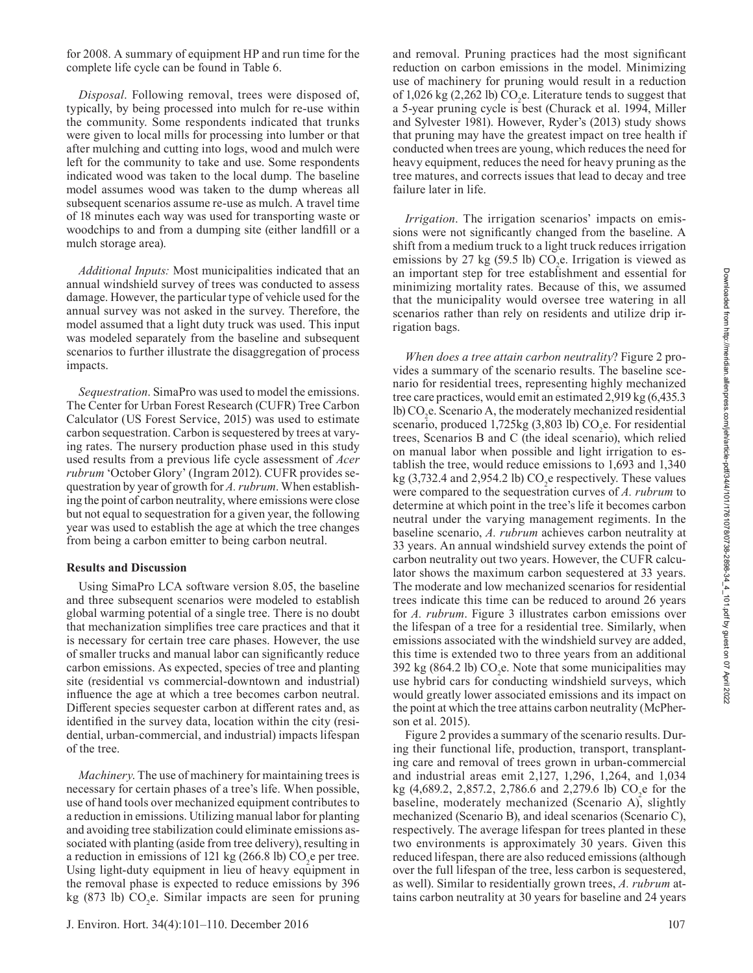for 2008. A summary of equipment HP and run time for the complete life cycle can be found in Table 6.

*Disposal*. Following removal, trees were disposed of, typically, by being processed into mulch for re-use within the community. Some respondents indicated that trunks were given to local mills for processing into lumber or that after mulching and cutting into logs, wood and mulch were left for the community to take and use. Some respondents indicated wood was taken to the local dump. The baseline model assumes wood was taken to the dump whereas all subsequent scenarios assume re-use as mulch. A travel time of 18 minutes each way was used for transporting waste or woodchips to and from a dumping site (either landfill or a mulch storage area).

*Additional Inputs:* Most municipalities indicated that an annual windshield survey of trees was conducted to assess damage. However, the particular type of vehicle used for the annual survey was not asked in the survey. Therefore, the model assumed that a light duty truck was used. This input was modeled separately from the baseline and subsequent scenarios to further illustrate the disaggregation of process impacts.

*Sequestration*. SimaPro was used to model the emissions. The Center for Urban Forest Research (CUFR) Tree Carbon Calculator (US Forest Service, 2015) was used to estimate carbon sequestration. Carbon is sequestered by trees at varying rates. The nursery production phase used in this study used results from a previous life cycle assessment of *Acer rubrum* 'October Glory' (Ingram 2012). CUFR provides sequestration by year of growth for *A. rubrum*. When establishing the point of carbon neutrality, where emissions were close but not equal to sequestration for a given year, the following year was used to establish the age at which the tree changes from being a carbon emitter to being carbon neutral.

# **Results and Discussion**

Using SimaPro LCA software version 8.05, the baseline and three subsequent scenarios were modeled to establish global warming potential of a single tree. There is no doubt that mechanization simplifies tree care practices and that it is necessary for certain tree care phases. However, the use of smaller trucks and manual labor can significantly reduce carbon emissions. As expected, species of tree and planting site (residential vs commercial-downtown and industrial) influence the age at which a tree becomes carbon neutral. Different species sequester carbon at different rates and, as identified in the survey data, location within the city (residential, urban-commercial, and industrial) impacts lifespan of the tree.

*Machinery*. The use of machinery for maintaining trees is necessary for certain phases of a tree's life. When possible, use of hand tools over mechanized equipment contributes to a reduction in emissions. Utilizing manual labor for planting and avoiding tree stabilization could eliminate emissions associated with planting (aside from tree delivery), resulting in a reduction in emissions of 121 kg (266.8 lb)  $CO<sub>2</sub>$ e per tree. Using light-duty equipment in lieu of heavy equipment in the removal phase is expected to reduce emissions by 396 kg (873 lb)  $CO<sub>2</sub>e$ . Similar impacts are seen for pruning and removal. Pruning practices had the most significant reduction on carbon emissions in the model. Minimizing use of machinery for pruning would result in a reduction of 1,026 kg (2,262 lb)  $CO<sub>2</sub>e$ . Literature tends to suggest that a 5-year pruning cycle is best (Churack et al. 1994, Miller and Sylvester 1981). However, Ryder's (2013) study shows that pruning may have the greatest impact on tree health if conducted when trees are young, which reduces the need for heavy equipment, reduces the need for heavy pruning as the tree matures, and corrects issues that lead to decay and tree failure later in life.

*Irrigation*. The irrigation scenarios' impacts on emissions were not significantly changed from the baseline. A shift from a medium truck to a light truck reduces irrigation emissions by 27 kg (59.5 lb)  $CO<sub>2</sub>e$ . Irrigation is viewed as an important step for tree establishment and essential for minimizing mortality rates. Because of this, we assumed that the municipality would oversee tree watering in all scenarios rather than rely on residents and utilize drip irrigation bags.

*When does a tree attain carbon neutrality*? Figure 2 provides a summary of the scenario results. The baseline scenario for residential trees, representing highly mechanized tree care practices, would emit an estimated 2,919 kg (6,435.3 lb) CO<sub>2</sub>e. Scenario A, the moderately mechanized residential scenario, produced 1,725 $kg(3,803 lb) CO<sub>2</sub>e$ . For residential trees, Scenarios B and C (the ideal scenario), which relied on manual labor when possible and light irrigation to establish the tree, would reduce emissions to 1,693 and 1,340 kg (3,732.4 and 2,954.2 lb)  $CO<sub>2</sub>e$  respectively. These values were compared to the sequestration curves of *A. rubrum* to determine at which point in the tree's life it becomes carbon neutral under the varying management regiments. In the baseline scenario, *A. rubrum* achieves carbon neutrality at 33 years. An annual windshield survey extends the point of carbon neutrality out two years. However, the CUFR calculator shows the maximum carbon sequestered at 33 years. The moderate and low mechanized scenarios for residential trees indicate this time can be reduced to around 26 years for *A. rubrum*. Figure 3 illustrates carbon emissions over the lifespan of a tree for a residential tree. Similarly, when emissions associated with the windshield survey are added, this time is extended two to three years from an additional 392 kg (864.2 lb)  $CO<sub>2</sub>e$ . Note that some municipalities may use hybrid cars for conducting windshield surveys, which would greatly lower associated emissions and its impact on the point at which the tree attains carbon neutrality (McPherson et al. 2015).

Figure 2 provides a summary of the scenario results. During their functional life, production, transport, transplanting care and removal of trees grown in urban-commercial and industrial areas emit 2,127, 1,296, 1,264, and 1,034 kg (4,689.2, 2,857.2, 2,786.6 and 2,279.6 lb)  $CO_2$ e for the baseline, moderately mechanized (Scenario A), slightly mechanized (Scenario B), and ideal scenarios (Scenario C), respectively. The average lifespan for trees planted in these two environments is approximately 30 years. Given this reduced lifespan, there are also reduced emissions (although over the full lifespan of the tree, less carbon is sequestered, as well). Similar to residentially grown trees, *A. rubrum* attains carbon neutrality at 30 years for baseline and 24 years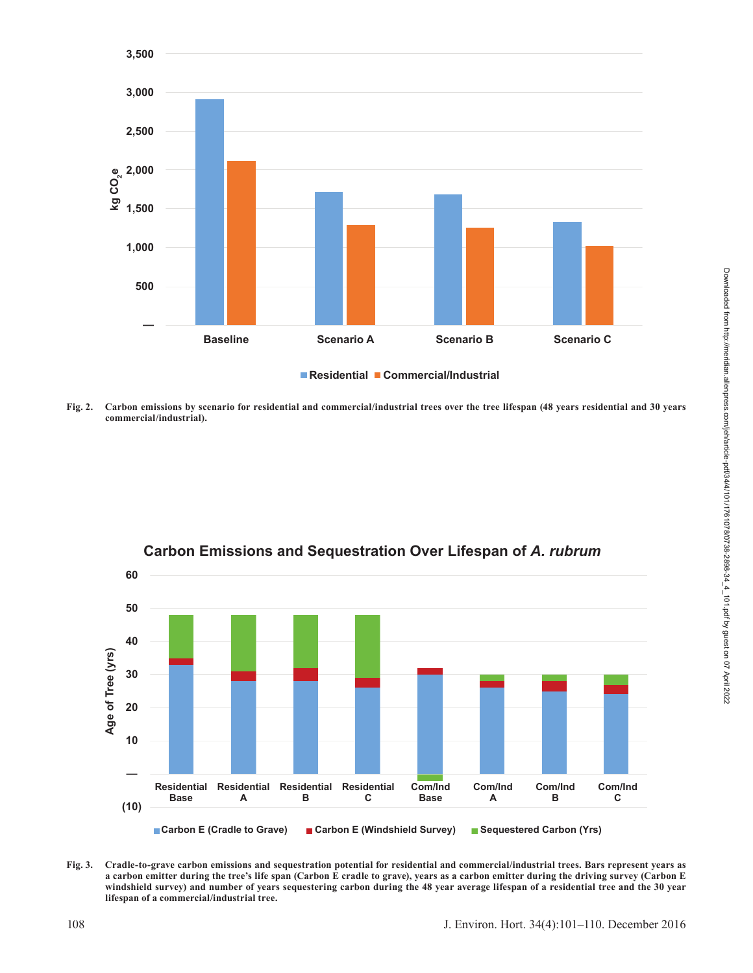

**Fig. 2. Carbon emissions by scenario for residential and commercial/industrial trees over the tree lifespan (48 years residential and 30 years commercial/industrial).**



# **Carbon Emissions and Sequestration Over Lifespan of** *A. rubrum*

**Fig. 3. Cradle-to-grave carbon emissions and sequestration potential for residential and commercial/industrial trees. Bars represent years as a carbon emitter during the tree's life span (Carbon E cradle to grave), years as a carbon emitter during the driving survey (Carbon E windshield survey) and number of years sequestering carbon during the 48 year average lifespan of a residential tree and the 30 year lifespan of a commercial/industrial tree.**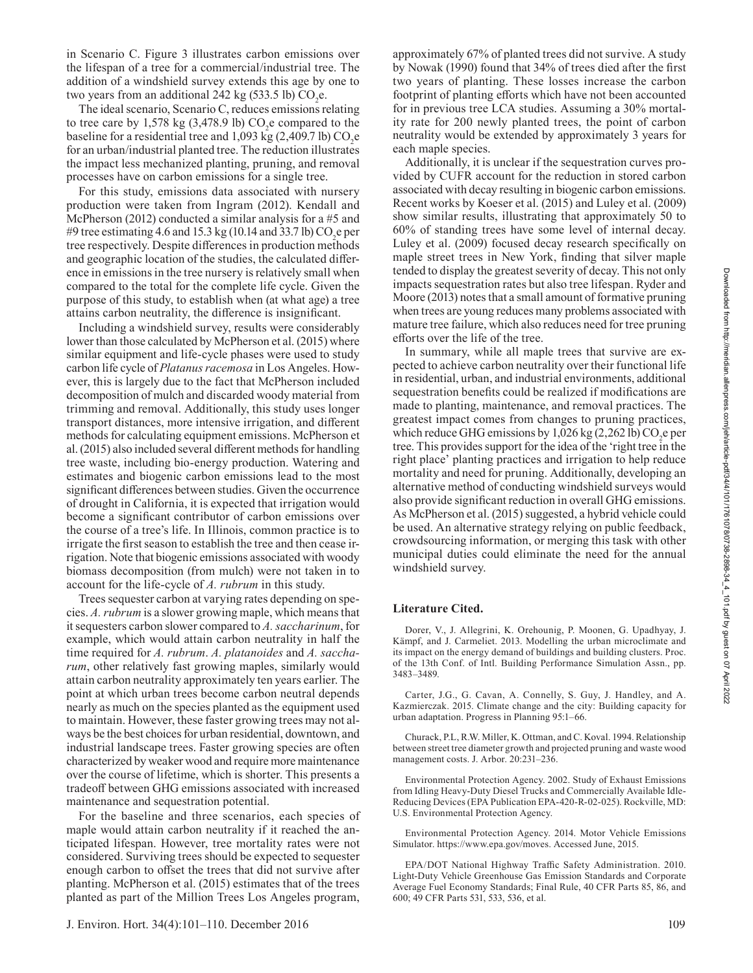in Scenario C. Figure 3 illustrates carbon emissions over the lifespan of a tree for a commercial/industrial tree. The addition of a windshield survey extends this age by one to two years from an additional 242 kg (533.5 lb)  $CO<sub>2</sub>e$ .

The ideal scenario, Scenario C, reduces emissions relating to tree care by 1,578 kg  $(3,478.9 \text{ lb})$  CO<sub>2</sub>e compared to the baseline for a residential tree and 1,093 kg (2,409.7 lb)  $CO_2$ e for an urban/industrial planted tree. The reduction illustrates the impact less mechanized planting, pruning, and removal processes have on carbon emissions for a single tree.

For this study, emissions data associated with nursery production were taken from Ingram (2012). Kendall and McPherson (2012) conducted a similar analysis for a #5 and #9 tree estimating 4.6 and 15.3 kg (10.14 and 33.7 lb)  $CO_2$ e per tree respectively. Despite differences in production methods and geographic location of the studies, the calculated difference in emissions in the tree nursery is relatively small when compared to the total for the complete life cycle. Given the purpose of this study, to establish when (at what age) a tree attains carbon neutrality, the difference is insignificant.

Including a windshield survey, results were considerably lower than those calculated by McPherson et al. (2015) where similar equipment and life-cycle phases were used to study carbon life cycle of *Platanus racemosa* in Los Angeles. However, this is largely due to the fact that McPherson included decomposition of mulch and discarded woody material from trimming and removal. Additionally, this study uses longer transport distances, more intensive irrigation, and different methods for calculating equipment emissions. McPherson et al. (2015) also included several different methods for handling tree waste, including bio-energy production. Watering and estimates and biogenic carbon emissions lead to the most significant differences between studies. Given the occurrence of drought in California, it is expected that irrigation would become a significant contributor of carbon emissions over the course of a tree's life. In Illinois, common practice is to irrigate the first season to establish the tree and then cease irrigation. Note that biogenic emissions associated with woody biomass decomposition (from mulch) were not taken in to account for the life-cycle of *A. rubrum* in this study.

Trees sequester carbon at varying rates depending on species. *A. rubrum* is a slower growing maple, which means that it sequesters carbon slower compared to *A. saccharinum*, for example, which would attain carbon neutrality in half the time required for *A. rubrum*. *A. platanoides* and *A. saccharum*, other relatively fast growing maples, similarly would attain carbon neutrality approximately ten years earlier. The point at which urban trees become carbon neutral depends nearly as much on the species planted as the equipment used to maintain. However, these faster growing trees may not always be the best choices for urban residential, downtown, and industrial landscape trees. Faster growing species are often characterized by weaker wood and require more maintenance over the course of lifetime, which is shorter. This presents a tradeoff between GHG emissions associated with increased maintenance and sequestration potential.

For the baseline and three scenarios, each species of maple would attain carbon neutrality if it reached the anticipated lifespan. However, tree mortality rates were not considered. Surviving trees should be expected to sequester enough carbon to offset the trees that did not survive after planting. McPherson et al. (2015) estimates that of the trees planted as part of the Million Trees Los Angeles program,

approximately 67% of planted trees did not survive. A study by Nowak (1990) found that 34% of trees died after the first two years of planting. These losses increase the carbon footprint of planting efforts which have not been accounted for in previous tree LCA studies. Assuming a 30% mortality rate for 200 newly planted trees, the point of carbon neutrality would be extended by approximately 3 years for each maple species.

Additionally, it is unclear if the sequestration curves provided by CUFR account for the reduction in stored carbon associated with decay resulting in biogenic carbon emissions. Recent works by Koeser et al. (2015) and Luley et al. (2009) show similar results, illustrating that approximately 50 to 60% of standing trees have some level of internal decay. Luley et al. (2009) focused decay research specifically on maple street trees in New York, finding that silver maple tended to display the greatest severity of decay. This not only impacts sequestration rates but also tree lifespan. Ryder and Moore (2013) notes that a small amount of formative pruning when trees are young reduces many problems associated with mature tree failure, which also reduces need for tree pruning efforts over the life of the tree.

In summary, while all maple trees that survive are expected to achieve carbon neutrality over their functional life in residential, urban, and industrial environments, additional sequestration benefits could be realized if modifications are made to planting, maintenance, and removal practices. The greatest impact comes from changes to pruning practices, which reduce GHG emissions by  $1,026$  kg (2,262 lb) CO<sub>2</sub>e per tree. This provides support for the idea of the 'right tree in the right place' planting practices and irrigation to help reduce mortality and need for pruning. Additionally, developing an alternative method of conducting windshield surveys would also provide significant reduction in overall GHG emissions. As McPherson et al. (2015) suggested, a hybrid vehicle could be used. An alternative strategy relying on public feedback, crowdsourcing information, or merging this task with other municipal duties could eliminate the need for the annual windshield survey.

## **Literature Cited.**

Dorer, V., J. Allegrini, K. Orehounig, P. Moonen, G. Upadhyay, J. Kämpf, and J. Carmeliet. 2013. Modelling the urban microclimate and its impact on the energy demand of buildings and building clusters. Proc. of the 13th Conf. of Intl. Building Performance Simulation Assn., pp. 3483–3489.

Carter, J.G., G. Cavan, A. Connelly, S. Guy, J. Handley, and A. Kazmierczak. 2015. Climate change and the city: Building capacity for urban adaptation. Progress in Planning 95:1–66.

Churack, P.L, R.W. Miller, K. Ottman, and C. Koval. 1994. Relationship between street tree diameter growth and projected pruning and waste wood management costs. J. Arbor. 20:231–236.

Environmental Protection Agency. 2002. Study of Exhaust Emissions from Idling Heavy-Duty Diesel Trucks and Commercially Available Idle-Reducing Devices (EPA Publication EPA-420-R-02-025). Rockville, MD: U.S. Environmental Protection Agency.

Environmental Protection Agency. 2014. Motor Vehicle Emissions Simulator. https://www.epa.gov/moves. Accessed June, 2015.

EPA/DOT National Highway Traffic Safety Administration. 2010. Light-Duty Vehicle Greenhouse Gas Emission Standards and Corporate Average Fuel Economy Standards; Final Rule, 40 CFR Parts 85, 86, and 600; 49 CFR Parts 531, 533, 536, et al.